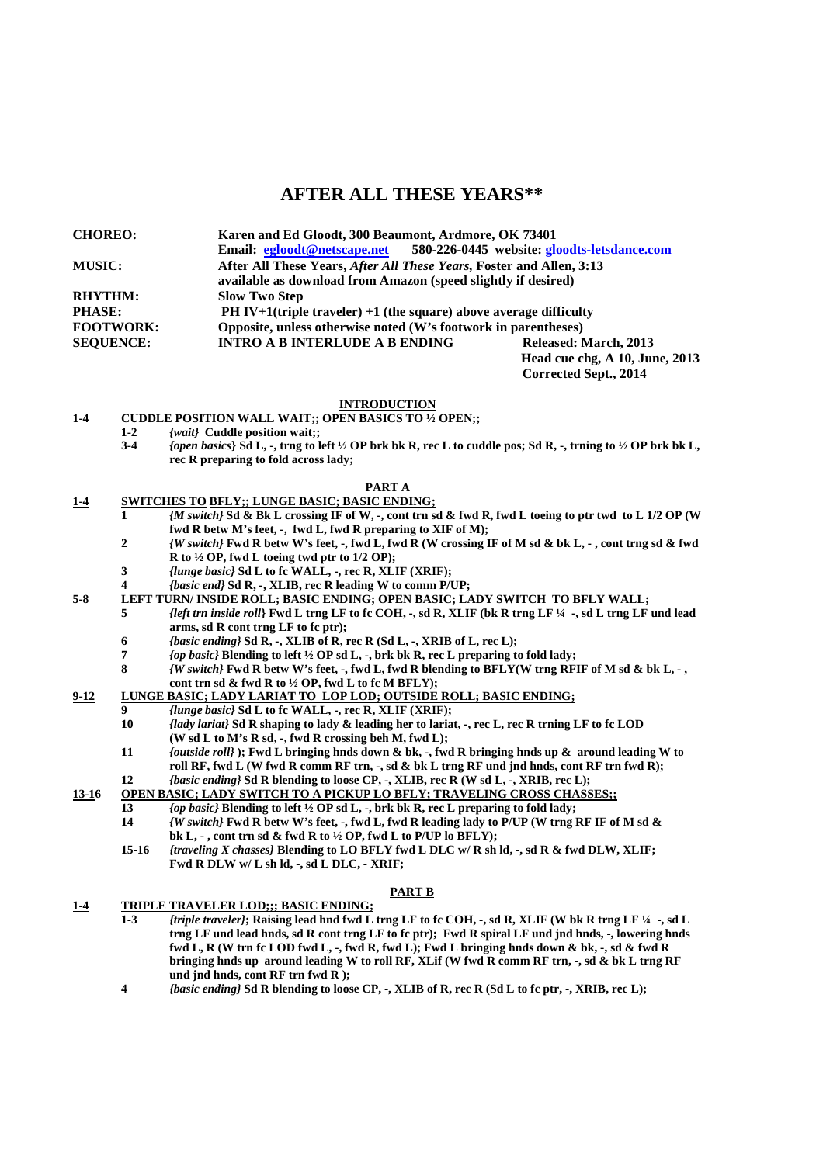# **AFTER ALL THESE YEARS\*\***

| <b>CHOREO:</b>   | Karen and Ed Gloodt, 300 Beaumont, Ardmore, OK 73401                 |                                             |  |
|------------------|----------------------------------------------------------------------|---------------------------------------------|--|
|                  | Email: egloodt@netscape.net                                          | 580-226-0445 website: gloodts-letsdance.com |  |
| <b>MUSIC:</b>    | After All These Years, After All These Years, Foster and Allen, 3:13 |                                             |  |
|                  | available as download from Amazon (speed slightly if desired)        |                                             |  |
| <b>RHYTHM:</b>   | <b>Slow Two Step</b>                                                 |                                             |  |
| <b>PHASE:</b>    | PH IV+1(triple traveler) $+1$ (the square) above average difficulty  |                                             |  |
| <b>FOOTWORK:</b> | Opposite, unless otherwise noted (W's footwork in parentheses)       |                                             |  |
| <b>SEOUENCE:</b> | <b>INTRO A B INTERLUDE A B ENDING</b>                                | Released: March, 2013                       |  |
|                  |                                                                      | Head cue chg, A 10, June, 2013              |  |
|                  |                                                                      | Corrected Sept., 2014                       |  |

## **INTRODUCTION**

- **1-4 CUDDLE POSITION WALL WAIT;; OPEN BASICS TO ½ OPEN;;** 
	- **1-2** *{wait}* **Cuddle position wait;;**
	- **3-4** *{open basics***} Sd L, -, trng to left ½ OP brk bk R, rec L to cuddle pos; Sd R, -, trning to ½ OP brk bk L, rec R preparing to fold across lady;**

## **PART A**

- **1-4 SWITCHES TO BFLY;; LUNGE BASIC; BASIC ENDING;**
	- **1** *{M switch}* **Sd & Bk L crossing IF of W, -, cont trn sd & fwd R, fwd L toeing to ptr twd to L 1/2 OP (W fwd R betw M's feet, -, fwd L, fwd R preparing to XIF of M);**<br> *IW switch!* Fwd R betw W's feet. -, fwd L, fwd R (W crossing I
	- **2** *{W switch}* **Fwd R betw W's feet, -, fwd L, fwd R (W crossing IF of M sd & bk L, , cont trng sd & fwd R to ½ OP, fwd L toeing twd ptr to 1/2 OP);**
	- **3** *{lunge basic}* **Sd L to fc WALL, -, rec R, XLIF (XRIF);**
	- **4** *{basic end}* **Sd R, -, XLIB, rec R leading W to comm P/UP;**
- **5-8** LEFT TURN/ INSIDE ROLL; BASIC ENDING; OPEN BASIC; LADY SWITCH TO BFLY WALL;<br>5 *left trn inside roll*} Ewd L trng LE to fc COH, sd R. XLIE (bk R trng LE <sup>14</sup>, sd L trng LE
	- **5** *{left trn inside roll***} Fwd L trng LF to fc COH, -, sd R, XLIF (bk R trng LF ¼ -, sd L trng LF und lead arms, sd R cont trng LF to fc ptr);** 
		- **6** *{basic ending}* **Sd R, -, XLIB of R, rec R (Sd L, -, XRIB of L, rec L);**
		- **7** *{op basic}* **Blending to left ½ OP sd L, -, brk bk R, rec L preparing to fold lady;**
		- **8** *{W switch}* **Fwd R betw W's feet, -, fwd L, fwd R blending to BFLY(W trng RFIF of M sd & bk L, , cont trn sd & fwd R to ½ OP, fwd L to fc M BFLY);**

# **9-12 LUNGE BASIC; LADY LARIAT TO LOP LOD; OUTSIDE ROLL; BASIC ENDING;**

- **9** *{lunge basic}* **Sd L to fc WALL, -, rec R, XLIF (XRIF);** 
	- **10** *{lady lariat}* **Sd R shaping to lady & leading her to lariat, -, rec L, rec R trning LF to fc LOD (W sd L to M's R sd, -, fwd R crossing beh M, fwd L);**
	- **11** *{outside roll}* **); Fwd L bringing hnds down & bk, -, fwd R bringing hnds up & around leading W to**  roll RF, fwd L (W fwd R comm RF trn, -, sd & bk L trng RF und jnd hnds, cont RF trn fwd R); **12** *{basic ending}* **Sd R blending to loose CP, -, XLIB, rec R (W sd L, -, XRIB, rec L);**
- 
- 13-16 OPEN BASIC; LADY SWITCH TO A PICKUP LO BFLY; TRAVELING CROSS CHASSES;;<br>
13 *(on basic)* Blending to left <sup>1/</sup>2 OP sd L., brk bk R, rec L, preparing to fold lady: **13** *{op basic}* **Blending to left ½ OP sd L, -, brk bk R, rec L preparing to fold lady;** 
	- **14** *{W switch}* **Fwd R betw W's feet, -, fwd L, fwd R leading lady to P/UP (W trng RF IF of M sd & bk L, - , cont trn sd & fwd R to ½ OP, fwd L to P/UP lo BFLY);**
	- **15-16** *{traveling X chasses}* **Blending to LO BFLY fwd L DLC w/ R sh ld, -, sd R & fwd DLW, XLIF; Fwd R DLW w/ L sh ld, -, sd L DLC, - XRIF;**

### **PART B**

# **1-4 TRIPLE TRAVELER LOD;;; BASIC ENDING;**

- **1-3** *{triple traveler}***; Raising lead hnd fwd L trng LF to fc COH, -, sd R, XLIF (W bk R trng LF ¼ -, sd L trng LF und lead hnds, sd R cont trng LF to fc ptr); Fwd R spiral LF und jnd hnds, -, lowering hnds fwd L, R (W trn fc LOD fwd L, -, fwd R, fwd L); Fwd L bringing hnds down & bk, -, sd & fwd R bringing hnds up around leading W to roll RF, XLif (W fwd R comm RF trn, -, sd & bk L trng RF und jnd hnds, cont RF trn fwd R );**
- **4** *{basic ending}* **Sd R blending to loose CP, -, XLIB of R, rec R (Sd L to fc ptr, -, XRIB, rec L);**